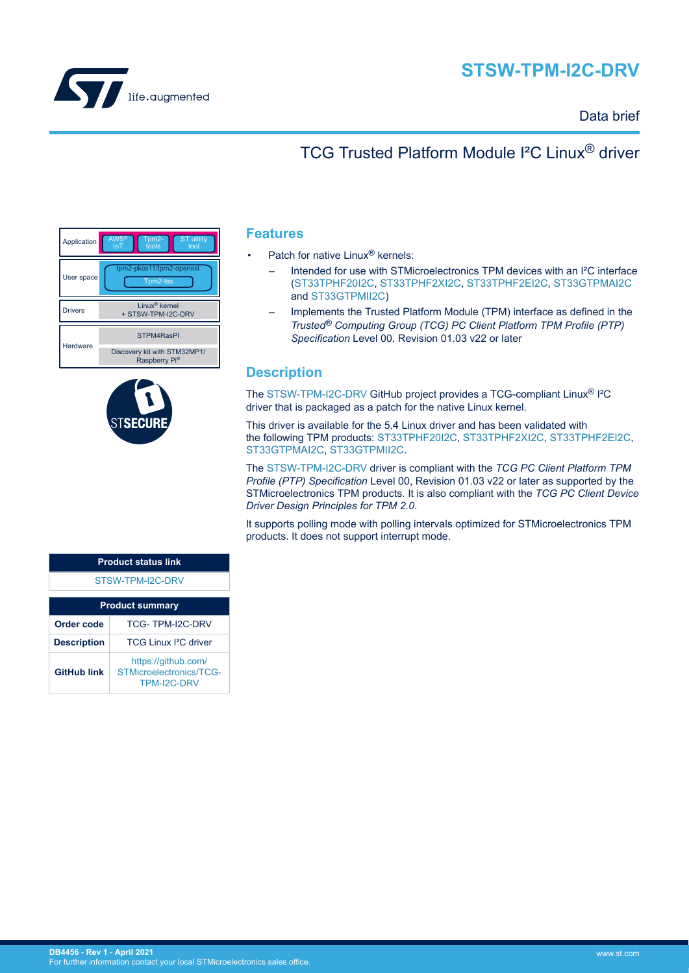



#### Data brief

# TCG Trusted Platform Module I²C Linux® driver

| Application    | <b>AWS®</b><br><b>ST</b> utility<br>Tpm2-<br>tools<br>tool<br>loT |
|----------------|-------------------------------------------------------------------|
| User space     | tpm2-pkcs11/tpm2-openssl<br>Tpm2-tss                              |
| <b>Drivers</b> | Linux <sup>®</sup> kernel<br>+ STSW-TPM-I2C-DRV                   |
| Hardware       | STPM4RasPI                                                        |
|                | Discovery kit with STM32MP1/<br>Raspberry Pi <sup>®</sup>         |



#### **Features**

- Patch for native Linux<sup>®</sup> kernels:
	- Intended for use with STMicroelectronics TPM devices with an I²C interface [\(ST33TPHF20I2C](https://www.st.com/en/product/st33tphf20i2c?ecmp=tt9470_gl_link_feb2019&rt=db&id=DB4456), [ST33TPHF2XI2C,](https://www.st.com/en/product/st33tphf2xi2c?ecmp=tt9470_gl_link_feb2019&rt=db&id=DB4456) [ST33TPHF2EI2C,](https://www.st.com/en/product/st33tphf2ei2c?ecmp=tt9470_gl_link_feb2019&rt=db&id=DB4456) [ST33GTPMAI2C](https://www.st.com/en/product/ST33GTPMAI2C?ecmp=tt9470_gl_link_feb2019&rt=db&id=DB4456) and [ST33GTPMII2C\)](https://www.st.com/en/product/ST33GTPMII2C?ecmp=tt9470_gl_link_feb2019&rt=db&id=DB4456)
	- Implements the Trusted Platform Module (TPM) interface as defined in the *Trusted® Computing Group (TCG) PC Client Platform TPM Profile (PTP) Specification* Level 00, Revision 01.03 v22 or later

### **Description**

The [STSW-TPM-I2C-DRV](https://www.st.com/en/product/STSW-TPM-I2C-DRV?ecmp=tt9470_gl_link_feb2019&rt=db&id=DB4456) GitHub project provides a TCG-compliant Linux® I²C driver that is packaged as a patch for the native Linux kernel.

This driver is available for the 5.4 Linux driver and has been validated with the following TPM products: [ST33TPHF20I2C](https://www.st.com/en/product/st33tphf20i2c?ecmp=tt9470_gl_link_feb2019&rt=db&id=DB4456), [ST33TPHF2XI2C](https://www.st.com/en/product/st33tphf2xi2c?ecmp=tt9470_gl_link_feb2019&rt=db&id=DB4456), [ST33TPHF2EI2C](https://www.st.com/en/product/st33tphf2ei2c?ecmp=tt9470_gl_link_feb2019&rt=db&id=DB4456), [ST33GTPMAI2C](https://www.st.com/en/product/ST33GTPMAI2C?ecmp=tt9470_gl_link_feb2019&rt=db&id=DB4456), [ST33GTPMII2C](https://www.st.com/en/product/ST33GTPMII2C?ecmp=tt9470_gl_link_feb2019&rt=db&id=DB4456).

The [STSW-TPM-I2C-DRV](https://www.st.com/en/product/STSW-TPM-I2C-DRV?ecmp=tt9470_gl_link_feb2019&rt=db&id=DB4456) driver is compliant with the *TCG PC Client Platform TPM Profile (PTP) Specification* Level 00, Revision 01.03 v22 or later as supported by the STMicroelectronics TPM products. It is also compliant with the *TCG PC Client Device Driver Design Principles for TPM 2.0*.

It supports polling mode with polling intervals optimized for STMicroelectronics TPM products. It does not support interrupt mode.

| <b>Product status link</b> |                                                                      |  |  |  |
|----------------------------|----------------------------------------------------------------------|--|--|--|
| STSW-TPM-I2C-DRV           |                                                                      |  |  |  |
| <b>Product summary</b>     |                                                                      |  |  |  |
| Order code                 | TCG-TPM-I2C-DRV                                                      |  |  |  |
| <b>Description</b>         | TCG Linux <sup>2</sup> C driver                                      |  |  |  |
| <b>GitHub link</b>         | https://github.com/<br>STMicroelectronics/TCG-<br><b>TPM-I2C-DRV</b> |  |  |  |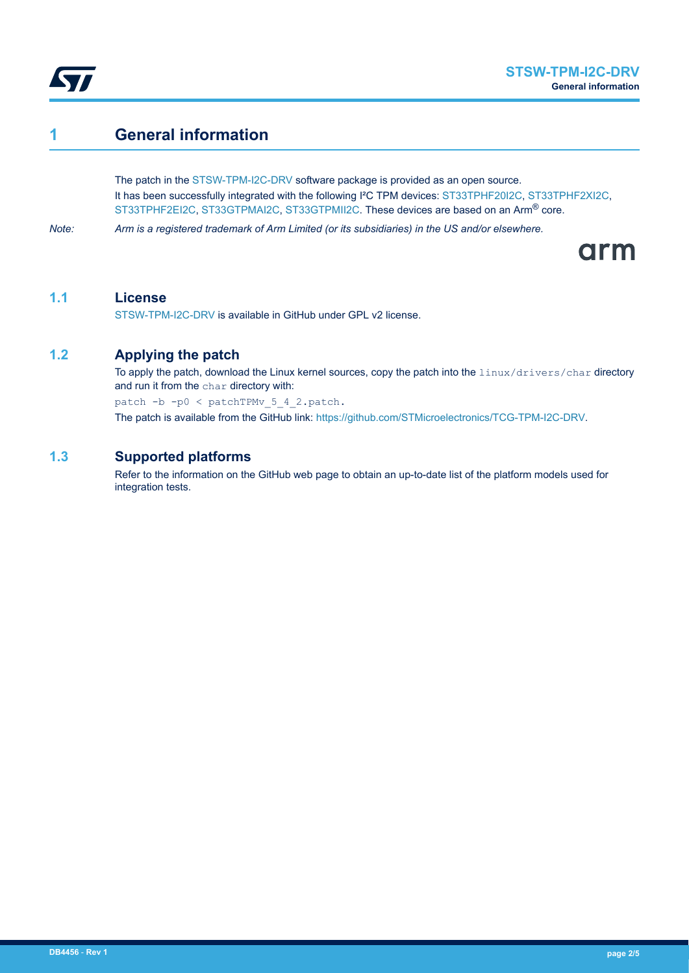

### **1 General information**

The patch in the [STSW-TPM-I2C-DRV](https://www.st.com/en/product/STSW-TPM-I2C-DRV?ecmp=tt9470_gl_link_feb2019&rt=db&id=DB4456) software package is provided as an open source. It has been successfully integrated with the following I²C TPM devices: [ST33TPHF20I2C](https://www.st.com/en/product/st33tphf20i2c?ecmp=tt9470_gl_link_feb2019&rt=db&id=DB4456), [ST33TPHF2XI2C](https://www.st.com/en/product/st33tphf2xi2c?ecmp=tt9470_gl_link_feb2019&rt=db&id=DB4456), [ST33TPHF2EI2C](https://www.st.com/en/product/st33tphf2ei2c?ecmp=tt9470_gl_link_feb2019&rt=db&id=DB4456), [ST33GTPMAI2C,](https://www.st.com/en/product/ST33GTPMAI2C?ecmp=tt9470_gl_link_feb2019&rt=db&id=DB4456) [ST33GTPMII2C.](https://www.st.com/en/product/ST33GTPMII2C?ecmp=tt9470_gl_link_feb2019&rt=db&id=DB4456) These devices are based on an Arm® core.

*Note: Arm is a registered trademark of Arm Limited (or its subsidiaries) in the US and/or elsewhere.*

arm

#### **1.1 License**

[STSW-TPM-I2C-DRV](https://www.st.com/en/product/STSW-TPM-I2C-DRV?ecmp=tt9470_gl_link_feb2019&rt=db&id=DB4456) is available in GitHub under GPL v2 license.

### **1.2 Applying the patch**

To apply the patch, download the Linux kernel sources, copy the patch into the linux/drivers/char directory and run it from the char directory with:

patch -b -p0 < patchTPMv\_5\_4\_2.patch.

The patch is available from the GitHub link: [https://github.com/STMicroelectronics/TCG-TPM-I2C-DRV.](https://github.com/STMicroelectronics/TCG-TPM-I2C-DRV)

#### **1.3 Supported platforms**

Refer to the information on the GitHub web page to obtain an up-to-date list of the platform models used for integration tests.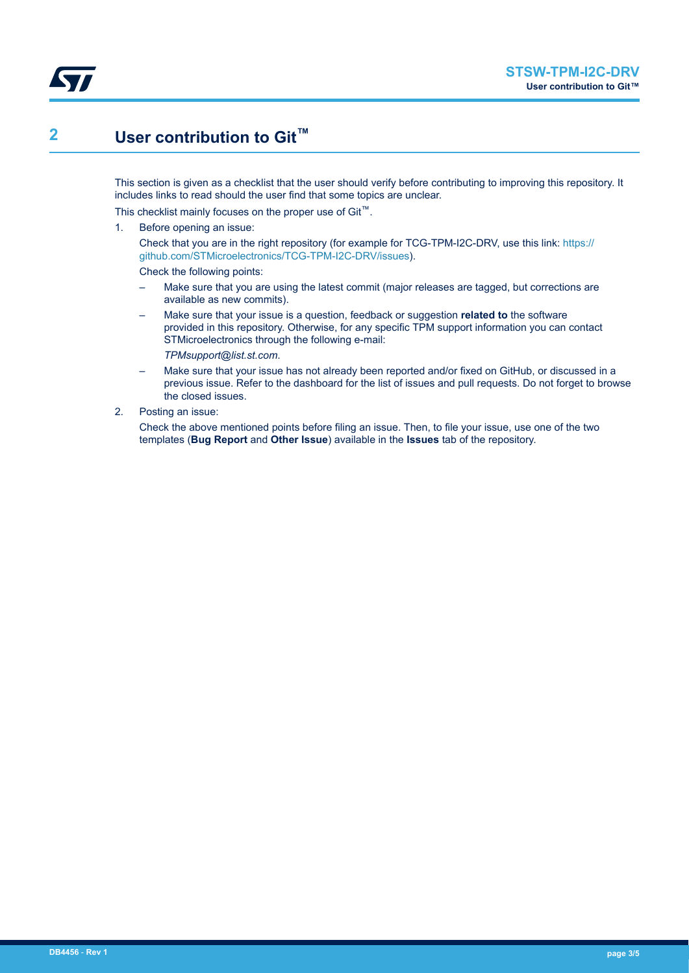

# **2 User contribution to Git™**

This section is given as a checklist that the user should verify before contributing to improving this repository. It includes links to read should the user find that some topics are unclear.

This checklist mainly focuses on the proper use of Git™.

1. Before opening an issue:

Check that you are in the right repository (for example for TCG-TPM-I2C-DRV, use this link: [https://](https://github.com/STMicroelectronics/TCG-TPM-I2C-DRV/issues) [github.com/STMicroelectronics/TCG-TPM-I2C-DRV/issues\)](https://github.com/STMicroelectronics/TCG-TPM-I2C-DRV/issues).

Check the following points:

- Make sure that you are using the latest commit (major releases are tagged, but corrections are available as new commits).
- Make sure that your issue is a question, feedback or suggestion **related to** the software provided in this repository. Otherwise, for any specific TPM support information you can contact STMicroelectronics through the following e-mail:

*TPMsupport@list.st.com*.

- Make sure that your issue has not already been reported and/or fixed on GitHub, or discussed in a previous issue. Refer to the dashboard for the list of issues and pull requests. Do not forget to browse the closed issues.
- 2. Posting an issue:

Check the above mentioned points before filing an issue. Then, to file your issue, use one of the two templates (**Bug Report** and **Other Issue**) available in the **Issues** tab of the repository.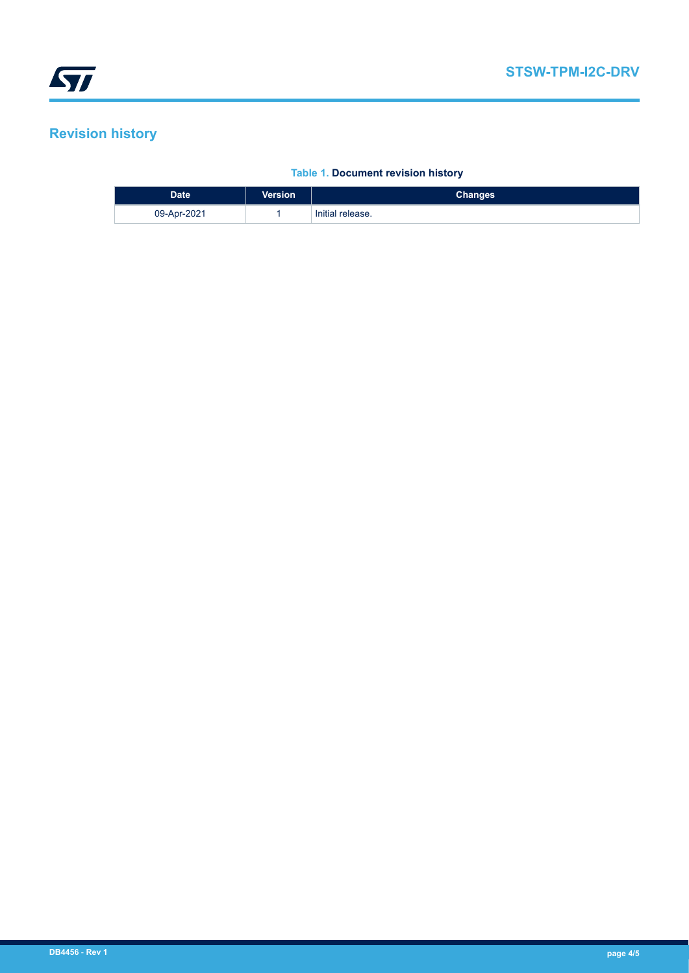# **Revision history**

I

#### **Table 1. Document revision history**

| <b>Date</b> | <b>Version</b> | <b>Changes</b>   |
|-------------|----------------|------------------|
| 09-Apr-2021 |                | Initial release. |